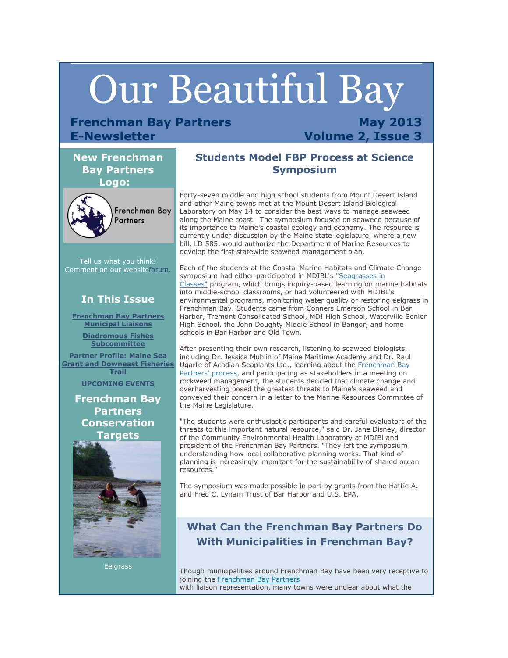# Our Beautiful Bay

# **Frenchman Bay Partners E-Newsletter**

**May 2013 Volume 2, Issue 3**

## **New Frenchman Bay Partners Logo:**



Tell us what you think! Comment on our websit[eforum.](http://r20.rs6.net/tn.jsp?e=001iJGZuYBjBWlWHzHMAheg8gXkoywSlevJ0BPfvvYNIp-Xx882tc8it45_71BDzZN28OFcdp0g_actgM8OXbOKqRhOrC1nLIYk1DH14hRC5Gvs3Sc6y6GTU3WZ6N5ffhXwYrBzonQC9f2gtOugI5-wN2EtP45OGih4WsJjDbvKqezIY491nSFz9GWiphdThuQL1vgRh3LNAgw=)

# **In This Issue**

**[Frenchman Bay Partners](https://ui.constantcontact.com/visualeditor/visual_editor_preview.jsp?agent.uid=1113346198132#LETTER.BLOCK13)  [Municipal Liaisons](https://ui.constantcontact.com/visualeditor/visual_editor_preview.jsp?agent.uid=1113346198132#LETTER.BLOCK13)**

> **[Diadromous Fishes](https://ui.constantcontact.com/visualeditor/visual_editor_preview.jsp?agent.uid=1113346198132#LETTER.BLOCK16)  [Subcommittee](https://ui.constantcontact.com/visualeditor/visual_editor_preview.jsp?agent.uid=1113346198132#LETTER.BLOCK16)**

**[Partner Profile: Maine Sea](https://ui.constantcontact.com/visualeditor/visual_editor_preview.jsp?agent.uid=1113346198132#LETTER.BLOCK17)  [Grant and Downeast Fisheries](https://ui.constantcontact.com/visualeditor/visual_editor_preview.jsp?agent.uid=1113346198132#LETTER.BLOCK17)  [Trail](https://ui.constantcontact.com/visualeditor/visual_editor_preview.jsp?agent.uid=1113346198132#LETTER.BLOCK17)**

**[UPCOMING EVENTS](https://ui.constantcontact.com/visualeditor/visual_editor_preview.jsp?agent.uid=1113346198132#LETTER.BLOCK22)**

**Frenchman Bay Partners Conservation Targets**



Eelgrass

# **Students Model FBP Process at Science Symposium**

Forty-seven middle and high school students from Mount Desert Island and other Maine towns met at the Mount Desert Island Biological Laboratory on May 14 to consider the best ways to manage seaweed along the Maine coast. The symposium focused on seaweed because of its importance to Maine's coastal ecology and economy. The resource is currently under discussion by the Maine state legislature, where a new bill, LD 585, would authorize the Department of Marine Resources to develop the first statewide seaweed management plan.

Each of the students at the Coastal Marine Habitats and Climate Change symposium had either participated in MDIBL's "Seagrasses in [Classes"](http://r20.rs6.net/tn.jsp?e=001iJGZuYBjBWlWHzHMAheg8gXkoywSlevJ0BPfvvYNIp-Xx882tc8it45_71BDzZN28OFcdp0g_actgM8OXbOKqRhOrC1nLIYk1DH14hRC5Gvs3Sc6y6GTU3WZ6N5ffhXwOeBxjTr51EKHC3KqgAlBkVKIfRaGrMexLu_mTGaGmqs=) program, which brings inquiry-based learning on marine habitats into middle-school classrooms, or had volunteered with MDIBL's environmental programs, monitoring water quality or restoring eelgrass in Frenchman Bay. Students came from Conners Emerson School in Bar Harbor, Tremont Consolidated School, MDI High School, Waterville Senior High School, the John Doughty Middle School in Bangor, and home schools in Bar Harbor and Old Town.

After presenting their own research, listening to seaweed biologists, including Dr. Jessica Muhlin of Maine Maritime Academy and Dr. Raul Ugarte of Acadian Seaplants Ltd., learning about the Frenchman Bay [Partners' process,](http://r20.rs6.net/tn.jsp?e=001iJGZuYBjBWlWHzHMAheg8gXkoywSlevJ0BPfvvYNIp-Xx882tc8it45_71BDzZN28OFcdp0g_actgM8OXbOKqRhOrC1nLIYk1DH14hRC5Gvs3Sc6y6GTU3WZ6N5ffhXw7U4_Hi0nq22oTm660leMDSd_RMOZTjBesU7YouBeS_yGPm8bb9sc8YnorhvYISqi) and participating as stakeholders in a meeting on rockweed management, the students decided that climate change and overharvesting posed the greatest threats to Maine's seaweed and conveyed their concern in a letter to the Marine Resources Committee of the Maine Legislature.

"The students were enthusiastic participants and careful evaluators of the threats to this important natural resource," said Dr. Jane Disney, director of the Community Environmental Health Laboratory at MDIBl and president of the Frenchman Bay Partners. "They left the symposium understanding how local collaborative planning works. That kind of planning is increasingly important for the sustainability of shared ocean resources."

The symposium was made possible in part by grants from the Hattie A. and Fred C. Lynam Trust of Bar Harbor and U.S. EPA.

# **What Can the Frenchman Bay Partners Do With Municipalities in Frenchman Bay?**

Though municipalities around Frenchman Bay have been very receptive to joining the [Frenchman Bay Partners](http://r20.rs6.net/tn.jsp?e=001iJGZuYBjBWlWHzHMAheg8gXkoywSlevJ0BPfvvYNIp-Xx882tc8it45_71BDzZN28OFcdp0g_actgM8OXbOKqRhOrC1nLIYk1DH14hRC5Gvs3Sc6y6GTU3WZ6N5ffhXw_b_cdaXsWn4=) with liaison representation, many towns were unclear about what the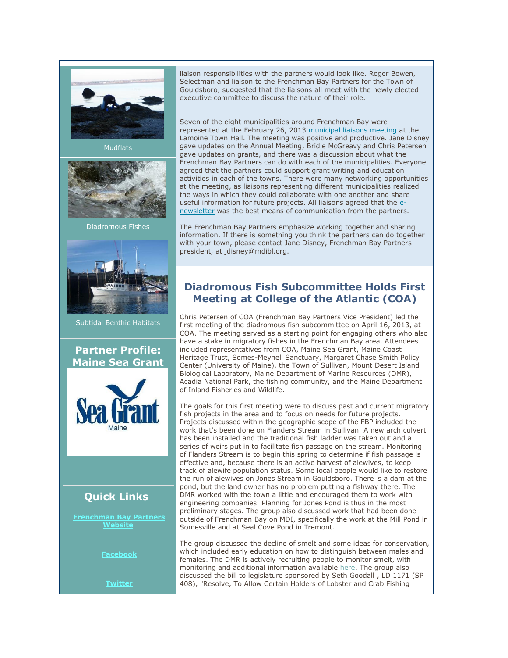

**Mudflats** 



Diadromous Fishes



Subtidal Benthic Habitats

#### **Partner Profile: Maine Sea Grant**



# **Quick Links**

**[Frenchman Bay Partners](http://r20.rs6.net/tn.jsp?e=001iJGZuYBjBWlWHzHMAheg8gXkoywSlevJ0BPfvvYNIp-Xx882tc8it45_71BDzZN28OFcdp0g_actgM8OXbOKqRhOrC1nLIYk1DH14hRC5Gvs3Sc6y6GTU3WZ6N5ffhXw_b_cdaXsWn4=)  [Website](http://r20.rs6.net/tn.jsp?e=001iJGZuYBjBWlWHzHMAheg8gXkoywSlevJ0BPfvvYNIp-Xx882tc8it45_71BDzZN28OFcdp0g_actgM8OXbOKqRhOrC1nLIYk1DH14hRC5Gvs3Sc6y6GTU3WZ6N5ffhXw_b_cdaXsWn4=)**

**[Facebook](http://r20.rs6.net/tn.jsp?e=001iJGZuYBjBWlWHzHMAheg8gXkoywSlevJ0BPfvvYNIp-Xx882tc8it45_71BDzZN28OFcdp0g_afLp88MiyuKX675fXvy5bbHsh12EtLD35E9rt1_vtdQr2injlL7YeXplz0VWT51Oze6lrBm-EHK1no2pHl7kfFJndoh_niVQby5wJkYry1DTstyj7QU3lQabeZriy8t6-s=)**

**[Twitter](http://r20.rs6.net/tn.jsp?e=001iJGZuYBjBWlWHzHMAheg8gXkoywSlevJ0BPfvvYNIp-Xx882tc8it45_71BDzZN28OFcdp0g_afLp88MiyuKX3yTK_WxnP5nc0lizXh6yjdSLzb2n6chEXVhLNmaYzO0)**

liaison responsibilities with the partners would look like. Roger Bowen, Selectman and liaison to the Frenchman Bay Partners for the Town of Gouldsboro, suggested that the liaisons all meet with the newly elected executive committee to discuss the nature of their role.

Seven of the eight municipalities around Frenchman Bay were represented at the February 26, 2013 [municipal liaisons meeting](http://r20.rs6.net/tn.jsp?e=001iJGZuYBjBWlWHzHMAheg8gXkoywSlevJ0BPfvvYNIp-Xx882tc8it45_71BDzZN28OFcdp0g_actgM8OXbOKqRhOrC1nLIYk1DH14hRC5Gvs3Sc6y6GTU3WZ6N5ffhXwzEE7UWnGrIKHIdOlNqZZBHfn5fNe_-GwutoGYXxkKECvjxi4amQGMA==) at the Lamoine Town Hall. The meeting was positive and productive. Jane Disney gave updates on the Annual Meeting, Bridie McGreavy and Chris Petersen gave updates on grants, and there was a discussion about what the Frenchman Bay Partners can do with each of the municipalities. Everyone agreed that the partners could support grant writing and education activities in each of the towns. There were many networking opportunities at the meeting, as liaisons representing different municipalities realized the ways in which they could collaborate with one another and share useful information for future projects. All liaisons agreed that the [e](http://r20.rs6.net/tn.jsp?e=001iJGZuYBjBWlWHzHMAheg8gXkoywSlevJ0BPfvvYNIp-Xx882tc8it45_71BDzZN28OFcdp0g_actgM8OXbOKqRhOrC1nLIYk1DH14hRC5Gvs3Sc6y6GTU3WZ6N5ffhXwzEE7UWnGrIKHIdOlNqZZBCK-LsGbW2vD2s14r_CKigOcxPOjvnBLCJ03Fb25G56t)[newsletter](http://r20.rs6.net/tn.jsp?e=001iJGZuYBjBWlWHzHMAheg8gXkoywSlevJ0BPfvvYNIp-Xx882tc8it45_71BDzZN28OFcdp0g_actgM8OXbOKqRhOrC1nLIYk1DH14hRC5Gvs3Sc6y6GTU3WZ6N5ffhXwzEE7UWnGrIKHIdOlNqZZBCK-LsGbW2vD2s14r_CKigOcxPOjvnBLCJ03Fb25G56t) was the best means of communication from the partners.

The Frenchman Bay Partners emphasize working together and sharing information. If there is something you think the partners can do together with your town, please contact Jane Disney, Frenchman Bay Partners president, at jdisney@mdibl.org.

# **Diadromous Fish Subcommittee Holds First Meeting at College of the Atlantic (COA)**

Chris Petersen of COA (Frenchman Bay Partners Vice President) led the first meeting of the diadromous fish subcommittee on April 16, 2013, at COA. The meeting served as a starting point for engaging others who also have a stake in migratory fishes in the Frenchman Bay area. Attendees included representatives from COA, Maine Sea Grant, Maine Coast Heritage Trust, Somes-Meynell Sanctuary, Margaret Chase Smith Policy Center (University of Maine), the Town of Sullivan, Mount Desert Island Biological Laboratory, Maine Department of Marine Resources (DMR), Acadia National Park, the fishing community, and the Maine Department of Inland Fisheries and Wildlife.

The goals for this first meeting were to discuss past and current migratory fish projects in the area and to focus on needs for future projects. Projects discussed within the geographic scope of the FBP included the work that's been done on Flanders Stream in Sullivan. A new arch culvert has been installed and the traditional fish ladder was taken out and a series of weirs put in to facilitate fish passage on the stream. Monitoring of Flanders Stream is to begin this spring to determine if fish passage is effective and, because there is an active harvest of alewives, to keep track of alewife population status. Some local people would like to restore the run of alewives on Jones Stream in Gouldsboro. There is a dam at the pond, but the land owner has no problem putting a fishway there. The DMR worked with the town a little and encouraged them to work with engineering companies. Planning for Jones Pond is thus in the most preliminary stages. The group also discussed work that had been done outside of Frenchman Bay on MDI, specifically the work at the Mill Pond in Somesville and at Seal Cove Pond in Tremont.

The group discussed the decline of smelt and some ideas for conservation, which included early education on how to distinguish between males and females. The DMR is actively recruiting people to monitor smelt, with monitoring and additional information available [here.](http://r20.rs6.net/tn.jsp?e=001iJGZuYBjBWlWHzHMAheg8gXkoywSlevJ0BPfvvYNIp-Xx882tc8it45_71BDzZN28OFcdp0g_actgM8OXbOKqbZTbyJ21s9_5Tp8cnQ3ZC8vf19I_P1AAIi_woYF3_I7FGvjwJBdWa_2kWIjts0xxA==) The group also discussed the bill to legislature sponsored by Seth Goodall , LD 1171 (SP 408), "Resolve, To Allow Certain Holders of Lobster and Crab Fishing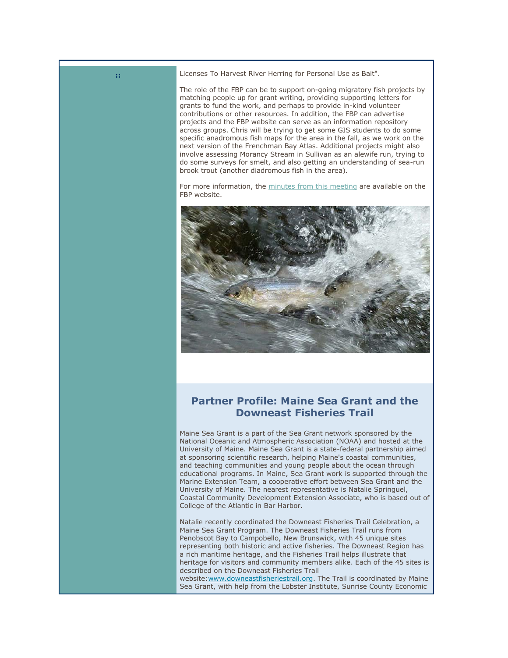**::** Licenses To Harvest River Herring for Personal Use as Bait".

The role of the FBP can be to support on-going migratory fish projects by matching people up for grant writing, providing supporting letters for grants to fund the work, and perhaps to provide in-kind volunteer contributions or other resources. In addition, the FBP can advertise projects and the FBP website can serve as an information repository across groups. Chris will be trying to get some GIS students to do some specific anadromous fish maps for the area in the fall, as we work on the next version of the Frenchman Bay Atlas. Additional projects might also involve assessing Morancy Stream in Sullivan as an alewife run, trying to do some surveys for smelt, and also getting an understanding of sea-run brook trout (another diadromous fish in the area).

For more information, the [minutes from this meeting](http://r20.rs6.net/tn.jsp?e=001iJGZuYBjBWlWHzHMAheg8gXkoywSlevJ0BPfvvYNIp-Xx882tc8it45_71BDzZN28OFcdp0g_actgM8OXbOKqRhOrC1nLIYk1DH14hRC5Gvs3Sc6y6GTU3WZ6N5ffhXwzEE7UWnGrIKHIdOlNqZZBHfn5fNe_-GwutoGYXxkKECvjxi4amQGMA==) are available on the FBP website.



## **Partner Profile: Maine Sea Grant and the Downeast Fisheries Trail**

Maine Sea Grant is a part of the Sea Grant network sponsored by the National Oceanic and Atmospheric Association (NOAA) and hosted at the University of Maine. Maine Sea Grant is a state-federal partnership aimed at sponsoring scientific research, helping Maine's coastal communities, and teaching communities and young people about the ocean through educational programs. In Maine, Sea Grant work is supported through the Marine Extension Team, a cooperative effort between Sea Grant and the University of Maine. The nearest representative is Natalie Springuel, Coastal Community Development Extension Associate, who is based out of College of the Atlantic in Bar Harbor.

Natalie recently coordinated the Downeast Fisheries Trail Celebration, a Maine Sea Grant Program. The Downeast Fisheries Trail runs from Penobscot Bay to Campobello, New Brunswick, with 45 unique sites representing both historic and active fisheries. The Downeast Region has a rich maritime heritage, and the Fisheries Trail helps illustrate that heritage for visitors and community members alike. Each of the 45 sites is described on the Downeast Fisheries Trail website[:www.downeastfisheriestrail.org.](http://r20.rs6.net/tn.jsp?e=001iJGZuYBjBWlWHzHMAheg8gXkoywSlevJ0BPfvvYNIp-Xx882tc8it45_71BDzZN28OFcdp0g_actgM8OXbOKqQvLLDx8fGQBDyX-vwJFS_VM7HMz-jTycjjC_Lp_Yjuqi8akUvmSq-4=) The Trail is coordinated by Maine Sea Grant, with help from the Lobster Institute, Sunrise County Economic